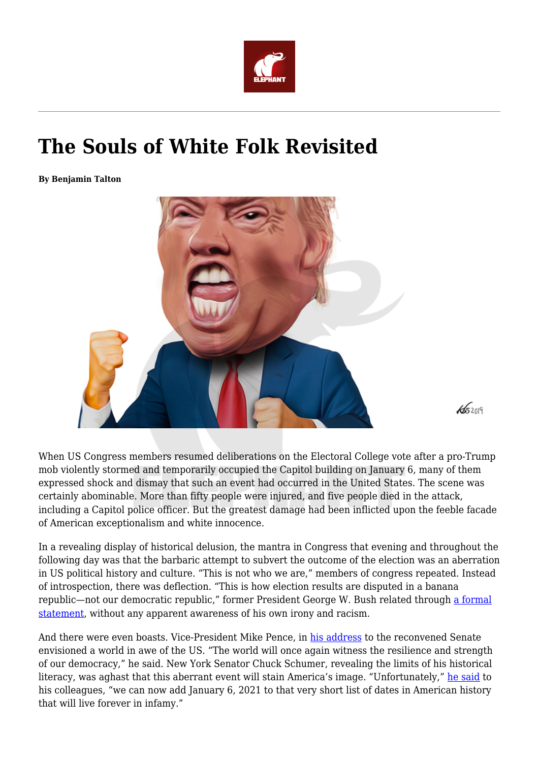

## **The Souls of White Folk Revisited**

**By Benjamin Talton**



When US Congress members resumed deliberations on the Electoral College vote after a pro-Trump mob violently stormed and temporarily occupied the Capitol building on January 6, many of them expressed shock and dismay that such an event had occurred in the United States. The scene was certainly abominable. More than fifty people were injured, and five people died in the attack, including a Capitol police officer. But the greatest damage had been inflicted upon the feeble facade of American exceptionalism and white innocence.

In a revealing display of historical delusion, the mantra in Congress that evening and throughout the following day was that the barbaric attempt to subvert the outcome of the election was an aberration in US political history and culture. "This is not who we are," members of congress repeated. Instead of introspection, there was deflection. "This is how election results are disputed in a banana republic—not our democratic republic," former President George W. Bush related through [a formal](https://www.npr.org/sections/congress-electoral-college-tally-live-updates/2021/01/06/954161289/george-w-bush-says-he-is-appalled-by-recklessness-of-some-political-leaders) [statement,](https://www.npr.org/sections/congress-electoral-college-tally-live-updates/2021/01/06/954161289/george-w-bush-says-he-is-appalled-by-recklessness-of-some-political-leaders) without any apparent awareness of his own irony and racism.

And there were even boasts. Vice-President Mike Pence, in [his address](https://newschoolinternationalaffairs.org/2018/10/11/trump-hitler-and-global-governance/) to the reconvened Senate envisioned a world in awe of the US. "The world will once again witness the resilience and strength of our democracy," he said. New York Senator Chuck Schumer, revealing the limits of his historical literacy, was aghast that this aberrant event will stain America's image. "Unfortunately," [he said](https://www.pbs.org/newshour/politics/watch-mob-that-stormed-u-s-capitol-cannot-be-called-protesters-schumer-says) to his colleagues, "we can now add January 6, 2021 to that very short list of dates in American history that will live forever in infamy."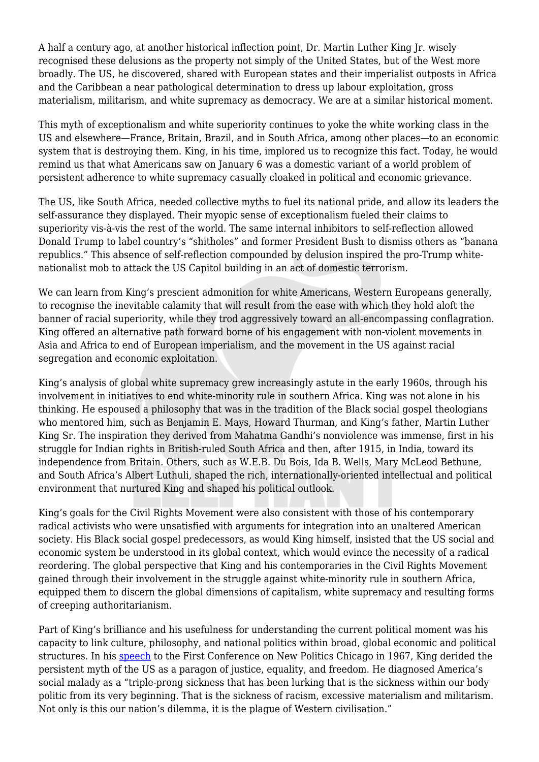A half a century ago, at another historical inflection point, Dr. Martin Luther King Jr. wisely recognised these delusions as the property not simply of the United States, but of the West more broadly. The US, he discovered, shared with European states and their imperialist outposts in Africa and the Caribbean a near pathological determination to dress up labour exploitation, gross materialism, militarism, and white supremacy as democracy. We are at a similar historical moment.

This myth of exceptionalism and white superiority continues to yoke the white working class in the US and elsewhere—France, Britain, Brazil, and in South Africa, among other places—to an economic system that is destroying them. King, in his time, implored us to recognize this fact. Today, he would remind us that what Americans saw on January 6 was a domestic variant of a world problem of persistent adherence to white supremacy casually cloaked in political and economic grievance.

The US, like South Africa, needed collective myths to fuel its national pride, and allow its leaders the self-assurance they displayed. Their myopic sense of exceptionalism fueled their claims to superiority vis-à-vis the rest of the world. The same internal inhibitors to self-reflection allowed Donald Trump to label country's "shitholes" and former President Bush to dismiss others as "banana republics." This absence of self-reflection compounded by delusion inspired the pro-Trump whitenationalist mob to attack the US Capitol building in an act of domestic terrorism.

We can learn from King's prescient admonition for white Americans, Western Europeans generally, to recognise the inevitable calamity that will result from the ease with which they hold aloft the banner of racial superiority, while they trod aggressively toward an all-encompassing conflagration. King offered an alternative path forward borne of his engagement with non-violent movements in Asia and Africa to end of European imperialism, and the movement in the US against racial segregation and economic exploitation.

King's analysis of global white supremacy grew increasingly astute in the early 1960s, through his involvement in initiatives to end white-minority rule in southern Africa. King was not alone in his thinking. He espoused a philosophy that was in the tradition of the Black social gospel theologians who mentored him, such as Benjamin E. Mays, Howard Thurman, and King's father, Martin Luther King Sr. The inspiration they derived from Mahatma Gandhi's nonviolence was immense, first in his struggle for Indian rights in British-ruled South Africa and then, after 1915, in India, toward its independence from Britain. Others, such as W.E.B. Du Bois, Ida B. Wells, Mary McLeod Bethune, and South Africa's Albert Luthuli, shaped the rich, internationally-oriented intellectual and political environment that nurtured King and shaped his political outlook.

King's goals for the Civil Rights Movement were also consistent with those of his contemporary radical activists who were unsatisfied with arguments for integration into an unaltered American society. His Black social gospel predecessors, as would King himself, insisted that the US social and economic system be understood in its global context, which would evince the necessity of a radical reordering. The global perspective that King and his contemporaries in the Civil Rights Movement gained through their involvement in the struggle against white-minority rule in southern Africa, equipped them to discern the global dimensions of capitalism, white supremacy and resulting forms of creeping authoritarianism.

Part of King's brilliance and his usefulness for understanding the current political moment was his capacity to link culture, philosophy, and national politics within broad, global economic and political structures. In his [speech](https://www.youtube.com/watch?v=j8d-IYSM-08&ab_channel=E.JoesphDoalmsavid) to the First Conference on New Politics Chicago in 1967, King derided the persistent myth of the US as a paragon of justice, equality, and freedom. He diagnosed America's social malady as a "triple-prong sickness that has been lurking that is the sickness within our body politic from its very beginning. That is the sickness of racism, excessive materialism and militarism. Not only is this our nation's dilemma, it is the plague of Western civilisation."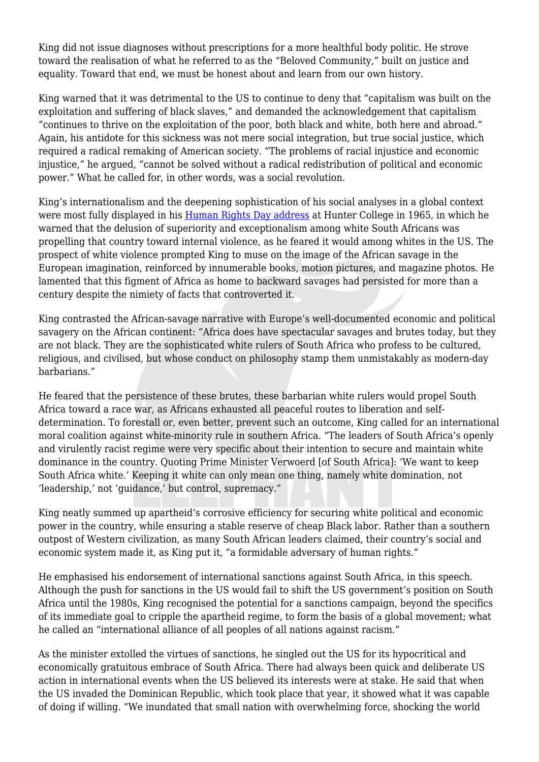King did not issue diagnoses without prescriptions for a more healthful body politic. He strove toward the realisation of what he referred to as the "Beloved Community," built on justice and equality. Toward that end, we must be honest about and learn from our own history.

King warned that it was detrimental to the US to continue to deny that "capitalism was built on the exploitation and suffering of black slaves," and demanded the acknowledgement that capitalism "continues to thrive on the exploitation of the poor, both black and white, both here and abroad." Again, his antidote for this sickness was not mere social integration, but true social justice, which required a radical remaking of American society. "The problems of racial injustice and economic injustice," he argued, "cannot be solved without a radical redistribution of political and economic power." What he called for, in other words, was a social revolution.

King's internationalism and the deepening sophistication of his social analyses in a global context were most fully displayed in his [Human Rights Day address](http://www.rfksafilm.org/html/speeches/pdfspeeches/14.pdf) at Hunter College in 1965, in which he warned that the delusion of superiority and exceptionalism among white South Africans was propelling that country toward internal violence, as he feared it would among whites in the US. The prospect of white violence prompted King to muse on the image of the African savage in the European imagination, reinforced by innumerable books, motion pictures, and magazine photos. He lamented that this figment of Africa as home to backward savages had persisted for more than a century despite the nimiety of facts that controverted it.

King contrasted the African-savage narrative with Europe's well-documented economic and political savagery on the African continent: "Africa does have spectacular savages and brutes today, but they are not black. They are the sophisticated white rulers of South Africa who profess to be cultured, religious, and civilised, but whose conduct on philosophy stamp them unmistakably as modern-day barbarians."

He feared that the persistence of these brutes, these barbarian white rulers would propel South Africa toward a race war, as Africans exhausted all peaceful routes to liberation and selfdetermination. To forestall or, even better, prevent such an outcome, King called for an international moral coalition against white-minority rule in southern Africa. "The leaders of South Africa's openly and virulently racist regime were very specific about their intention to secure and maintain white dominance in the country. Quoting Prime Minister Verwoerd [of South Africa]: 'We want to keep South Africa white.' Keeping it white can only mean one thing, namely white domination, not 'leadership,' not 'guidance,' but control, supremacy."

King neatly summed up apartheid's corrosive efficiency for securing white political and economic power in the country, while ensuring a stable reserve of cheap Black labor. Rather than a southern outpost of Western civilization, as many South African leaders claimed, their country's social and economic system made it, as King put it, "a formidable adversary of human rights."

He emphasised his endorsement of international sanctions against South Africa, in this speech. Although the push for sanctions in the US would fail to shift the US government's position on South Africa until the 1980s, King recognised the potential for a sanctions campaign, beyond the specifics of its immediate goal to cripple the apartheid regime, to form the basis of a global movement; what he called an "international alliance of all peoples of all nations against racism."

As the minister extolled the virtues of sanctions, he singled out the US for its hypocritical and economically gratuitous embrace of South Africa. There had always been quick and deliberate US action in international events when the US believed its interests were at stake. He said that when the US invaded the Dominican Republic, which took place that year, it showed what it was capable of doing if willing. "We inundated that small nation with overwhelming force, shocking the world